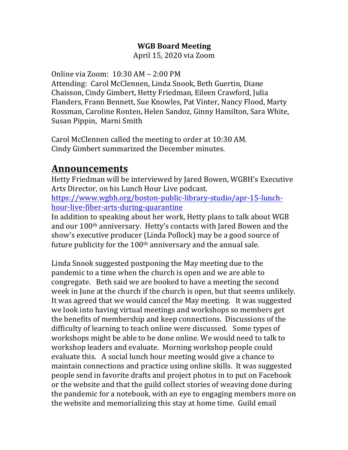#### **WGB Board Meeting**

April 15, 2020 via Zoom

Online via Zoom:  $10:30$  AM –  $2:00$  PM Attending: Carol McClennen, Linda Snook, Beth Guertin, Diane Chaisson, Cindy Gimbert, Hetty Friedman, Eileen Crawford, Julia Flanders, Frann Bennett, Sue Knowles, Pat Vinter, Nancy Flood, Marty Rossman, Caroline Ronten, Helen Sandoz, Ginny Hamilton, Sara White, Susan Pippin, Marni Smith

Carol McClennen called the meeting to order at 10:30 AM. Cindy Gimbert summarized the December minutes.

#### **Announcements**

Hetty Friedman will be interviewed by Jared Bowen, WGBH's Executive Arts Director, on his Lunch Hour Live podcast. https://www.wgbh.org/boston-public-library-studio/apr-15-lunchhour-live-fiber-arts-during-quarantine

In addition to speaking about her work, Hetty plans to talk about WGB and our 100<sup>th</sup> anniversary. Hetty's contacts with Jared Bowen and the show's executive producer (Linda Pollock) may be a good source of future publicity for the  $100<sup>th</sup>$  anniversary and the annual sale.

Linda Snook suggested postponing the May meeting due to the pandemic to a time when the church is open and we are able to congregate. Beth said we are booked to have a meeting the second week in June at the church if the church is open, but that seems unlikely. It was agreed that we would cancel the May meeting. It was suggested we look into having virtual meetings and workshops so members get the benefits of membership and keep connections. Discussions of the difficulty of learning to teach online were discussed. Some types of workshops might be able to be done online. We would need to talk to workshop leaders and evaluate. Morning workshop people could evaluate this. A social lunch hour meeting would give a chance to maintain connections and practice using online skills. It was suggested people send in favorite drafts and project photos in to put on Facebook or the website and that the guild collect stories of weaving done during the pandemic for a notebook, with an eve to engaging members more on the website and memorializing this stay at home time. Guild email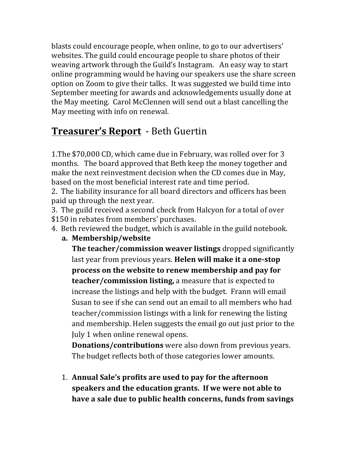blasts could encourage people, when online, to go to our advertisers' websites. The guild could encourage people to share photos of their weaving artwork through the Guild's Instagram. An easy way to start online programming would be having our speakers use the share screen option on Zoom to give their talks. It was suggested we build time into September meeting for awards and acknowledgements usually done at the May meeting. Carol McClennen will send out a blast cancelling the May meeting with info on renewal.

## **Treasurer's Report** - Beth Guertin

1. The \$70,000 CD, which came due in February, was rolled over for 3 months. The board approved that Beth keep the money together and make the next reinvestment decision when the CD comes due in May, based on the most beneficial interest rate and time period.

2. The liability insurance for all board directors and officers has been paid up through the next year.

3. The guild received a second check from Halcyon for a total of over \$150 in rebates from members' purchases.

- 4. Beth reviewed the budget, which is available in the guild notebook.
	- **a. Membership/website**

**The teacher/commission weaver listings** dropped significantly last year from previous years. **Helen will make it a one-stop** process on the website to renew membership and pay for **teacher/commission listing,** a measure that is expected to increase the listings and help with the budget. Frann will email Susan to see if she can send out an email to all members who had teacher/commission listings with a link for renewing the listing and membership. Helen suggests the email go out just prior to the July 1 when online renewal opens.

**Donations/contributions** were also down from previous years. The budget reflects both of those categories lower amounts.

1. Annual Sale's profits are used to pay for the afternoon **speakers and the education grants.** If we were not able to have a sale due to public health concerns, funds from savings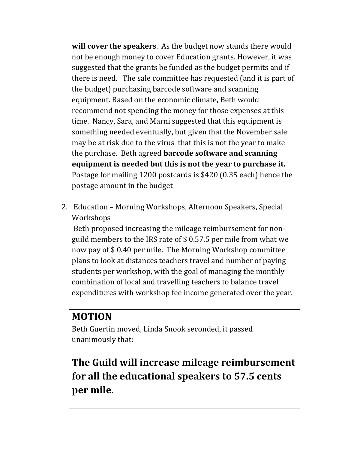**will cover the speakers**. As the budget now stands there would not be enough money to cover Education grants. However, it was suggested that the grants be funded as the budget permits and if there is need. The sale committee has requested (and it is part of the budget) purchasing barcode software and scanning equipment. Based on the economic climate, Beth would recommend not spending the money for those expenses at this time. Nancy, Sara, and Marni suggested that this equipment is something needed eventually, but given that the November sale may be at risk due to the virus that this is not the year to make the purchase. Beth agreed **barcode software and scanning equipment** is needed but this is not the year to purchase it. Postage for mailing 1200 postcards is \$420 (0.35 each) hence the postage amount in the budget

2. Education - Morning Workshops, Afternoon Speakers, Special Workshops

Beth proposed increasing the mileage reimbursement for nonguild members to the IRS rate of  $$0.57.5$  per mile from what we now pay of \$0.40 per mile. The Morning Workshop committee plans to look at distances teachers travel and number of paying students per workshop, with the goal of managing the monthly combination of local and travelling teachers to balance travel expenditures with workshop fee income generated over the year.

#### **MOTION**

Beth Guertin moved, Linda Snook seconded, it passed unanimously that:

**The Guild will increase mileage reimbursement for all the educational speakers to 57.5 cents** per mile.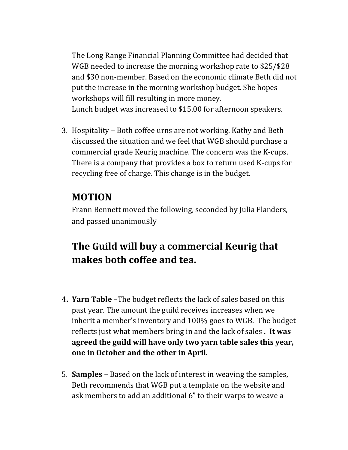The Long Range Financial Planning Committee had decided that WGB needed to increase the morning workshop rate to \$25/\$28 and \$30 non-member. Based on the economic climate Beth did not put the increase in the morning workshop budget. She hopes workshops will fill resulting in more money. Lunch budget was increased to \$15.00 for afternoon speakers.

3. Hospitality – Both coffee urns are not working. Kathy and Beth discussed the situation and we feel that WGB should purchase a commercial grade Keurig machine. The concern was the K-cups. There is a company that provides a box to return used K-cups for recycling free of charge. This change is in the budget.

#### **MOTION**

Frann Bennett moved the following, seconded by Julia Flanders, and passed unanimously

### **The Guild will buy a commercial Keurig that makes both coffee and tea.**

- **4. Yarn Table** –The budget reflects the lack of sales based on this past year. The amount the guild receives increases when we inherit a member's inventory and 100% goes to WGB. The budget reflects just what members bring in and the lack of sales . It was agreed the guild will have only two yarn table sales this year, **one in October and the other in April.**
- 5. **Samples** Based on the lack of interest in weaving the samples, Beth recommends that WGB put a template on the website and ask members to add an additional 6" to their warps to weave a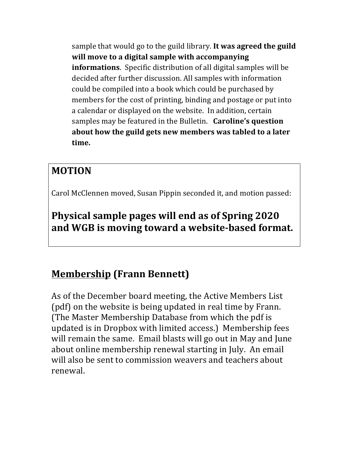sample that would go to the guild library. It was agreed the guild **will move to a digital sample with accompanying informations**. Specific distribution of all digital samples will be decided after further discussion. All samples with information could be compiled into a book which could be purchased by members for the cost of printing, binding and postage or put into a calendar or displayed on the website. In addition, certain samples may be featured in the Bulletin. **Caroline's question** about how the guild gets new members was tabled to a later **time.**

### **MOTION**

Carol McClennen moved, Susan Pippin seconded it, and motion passed:

**Physical sample pages will end as of Spring 2020** and WGB is moving toward a website-based format.

# **Membership (Frann Bennett)**

As of the December board meeting, the Active Members List (pdf) on the website is being updated in real time by Frann. (The Master Membership Database from which the pdf is updated is in Dropbox with limited access.) Membership fees will remain the same. Email blasts will go out in May and June about online membership renewal starting in July. An email will also be sent to commission weavers and teachers about renewal.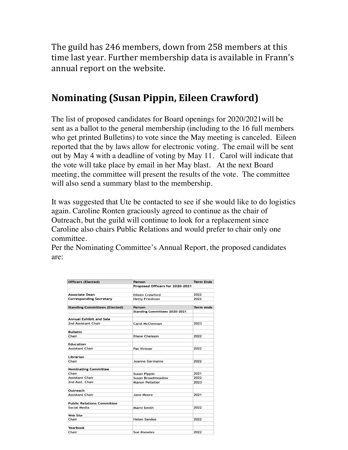The guild has 246 members, down from 258 members at this time last year. Further membership data is available in Frann's annual report on the website.

#### **Nominating (Susan Pippin, Eileen Crawford)**

The list of proposed candidates for Board openings for 2020/2021will be sent as a ballot to the general membership (including to the 16 full members who get printed Bulletins) to vote since the May meeting is canceled. Eileen reported that the by laws allow for electronic voting. The email will be sent out by May 4 with a deadline of voting by May 11. Carol will indicate that the vote will take place by email in her May blast. At the next Board meeting, the committee will present the results of the vote. The committee will also send a summary blast to the membership.

It was suggested that Ute be contacted to see if she would like to do logistics again. Caroline Ronten graciously agreed to continue as the chair of Outreach, but the guild will continue to look for a replacement since Caroline also chairs Public Relations and would prefer to chair only one committee.

Per the Nominating Committee's Annual Report, the proposed candidates are:

| <b>Officers (Elected)</b>            | Person<br>Proposed Officers for 2020-2021 | <b>Term Ends</b> |
|--------------------------------------|-------------------------------------------|------------------|
|                                      |                                           |                  |
| <b>Corresponding Secretary</b>       | <b>Hetty Friedman</b>                     | 2022             |
| <b>Standing Committees (Elected)</b> | Person                                    | Term ends        |
|                                      | <b>Standing Committees 2020-2021</b>      |                  |
| <b>Annual Exhibit and Sale</b>       |                                           |                  |
| 2nd Assistant Chair                  | Carol McClennan                           | 2023             |
| <b>Bulletin</b>                      |                                           |                  |
| Chair                                | <b>Diane Chaisson</b>                     | 2022             |
| <b>Education</b>                     |                                           |                  |
| Assistant Chair                      | Pat Vintner                               | 2022             |
| Librarian                            |                                           |                  |
| Chair                                | Joanne Germaine                           | 2022             |
| <b>Nominating Committee</b>          |                                           |                  |
| Chair                                | <b>Susan Pippin</b>                       | 2021             |
| <b>Assistant Chair</b>               | Susan Broadmeadow                         | 2022             |
| 2nd Asst. Chair                      | <b>Manon Pelletier</b>                    | 2023             |
| Outreach                             |                                           |                  |
| <b>Assistant Chair</b>               | Jane Moore                                | 2021             |
| <b>Public Relations Committee</b>    |                                           |                  |
| Social Media                         | Marni Smith                               | 2022             |
| <b>Web Site</b>                      |                                           |                  |
| Chair                                | <b>Helen Sandoz</b>                       | 2022             |
| Yearbook                             |                                           |                  |
| Chair                                | <b>Sue Knowles</b>                        | 2022             |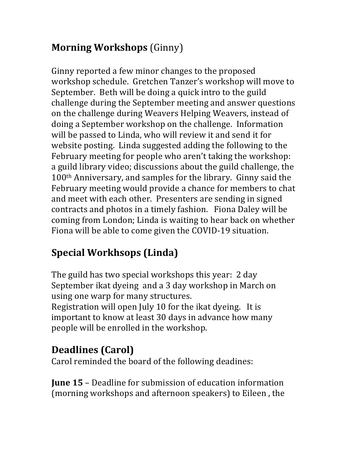## **Morning Workshops** (Ginny)

Ginny reported a few minor changes to the proposed workshop schedule. Gretchen Tanzer's workshop will move to September. Beth will be doing a quick intro to the guild challenge during the September meeting and answer questions on the challenge during Weavers Helping Weavers, instead of doing a September workshop on the challenge. Information will be passed to Linda, who will review it and send it for website posting. Linda suggested adding the following to the February meeting for people who aren't taking the workshop: a guild library video; discussions about the guild challenge, the  $100<sup>th</sup>$  Anniversary, and samples for the library. Ginny said the February meeting would provide a chance for members to chat and meet with each other. Presenters are sending in signed contracts and photos in a timely fashion. Fiona Daley will be coming from London; Linda is waiting to hear back on whether Fiona will be able to come given the COVID-19 situation.

# **Special Workhsops (Linda)**

The guild has two special workshops this year: 2 day September ikat dyeing and a 3 day workshop in March on using one warp for many structures. Registration will open July 10 for the ikat dyeing. It is important to know at least 30 days in advance how many people will be enrolled in the workshop.

# **Deadlines** (Carol)

Carol reminded the board of the following deadines:

**June 15** – Deadline for submission of education information (morning workshops and afternoon speakers) to Eileen, the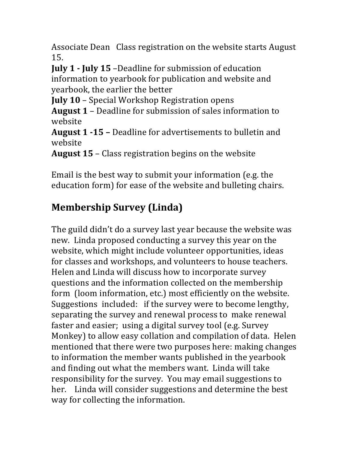Associate Dean Class registration on the website starts August 15. 

**July 1 - July 15** –Deadline for submission of education information to yearbook for publication and website and yearbook, the earlier the better

**July 10** – Special Workshop Registration opens

**August 1** – Deadline for submission of sales information to website

**August 1 -15 -** Deadline for advertisements to bulletin and website

**August 15** – Class registration begins on the website

Email is the best way to submit your information (e.g. the education form) for ease of the website and bulleting chairs.

# **Membership Survey (Linda)**

The guild didn't do a survey last year because the website was new. Linda proposed conducting a survey this year on the website, which might include volunteer opportunities, ideas for classes and workshops, and volunteers to house teachers. Helen and Linda will discuss how to incorporate survey questions and the information collected on the membership form (loom information, etc.) most efficiently on the website. Suggestions included: if the survey were to become lengthy, separating the survey and renewal process to make renewal faster and easier; using a digital survey tool (e.g. Survey Monkey) to allow easy collation and compilation of data. Helen mentioned that there were two purposes here: making changes to information the member wants published in the yearbook and finding out what the members want. Linda will take responsibility for the survey. You may email suggestions to her. Linda will consider suggestions and determine the best way for collecting the information.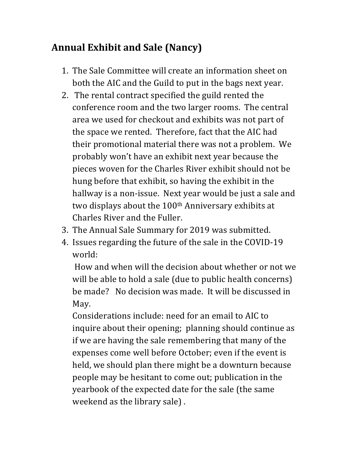### **Annual Exhibit and Sale (Nancy)**

- 1. The Sale Committee will create an information sheet on both the AIC and the Guild to put in the bags next year.
- 2. The rental contract specified the guild rented the conference room and the two larger rooms. The central area we used for checkout and exhibits was not part of the space we rented. Therefore, fact that the AIC had their promotional material there was not a problem. We probably won't have an exhibit next year because the pieces woven for the Charles River exhibit should not be hung before that exhibit, so having the exhibit in the hallway is a non-issue. Next year would be just a sale and two displays about the 100<sup>th</sup> Anniversary exhibits at Charles River and the Fuller.
- 3. The Annual Sale Summary for 2019 was submitted.
- 4. Issues regarding the future of the sale in the COVID-19 world:

How and when will the decision about whether or not we will be able to hold a sale (due to public health concerns) be made? No decision was made. It will be discussed in May.

Considerations include: need for an email to AIC to inquire about their opening; planning should continue as if we are having the sale remembering that many of the expenses come well before October; even if the event is held, we should plan there might be a downturn because people may be hesitant to come out; publication in the yearbook of the expected date for the sale (the same weekend as the library sale).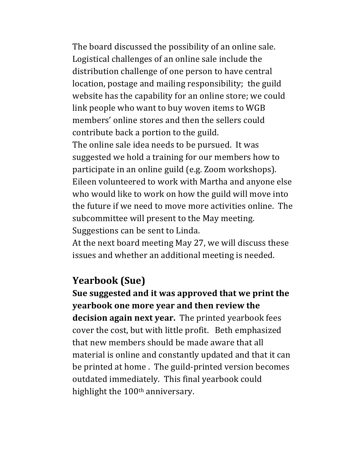The board discussed the possibility of an online sale. Logistical challenges of an online sale include the distribution challenge of one person to have central location, postage and mailing responsibility; the guild website has the capability for an online store; we could link people who want to buy woven items to WGB members' online stores and then the sellers could contribute back a portion to the guild. The online sale idea needs to be pursued. It was suggested we hold a training for our members how to participate in an online guild (e.g. Zoom workshops). Eileen volunteered to work with Martha and anyone else who would like to work on how the guild will move into the future if we need to move more activities online. The subcommittee will present to the May meeting. Suggestions can be sent to Linda.

At the next board meeting May 27, we will discuss these issues and whether an additional meeting is needed.

#### **Yearbook (Sue)**

**Sue suggested and it was approved that we print the yearbook one more year and then review the decision again next year.** The printed yearbook fees cover the cost, but with little profit. Beth emphasized that new members should be made aware that all material is online and constantly updated and that it can be printed at home. The guild-printed version becomes outdated immediately. This final yearbook could highlight the  $100<sup>th</sup>$  anniversary.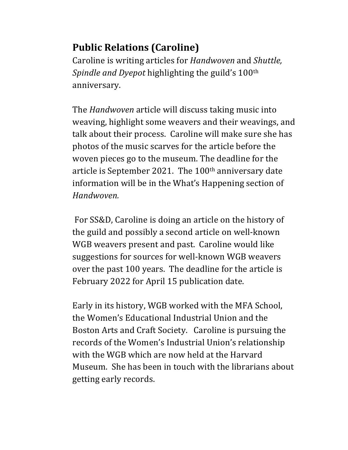## **Public Relations (Caroline)**

Caroline is writing articles for *Handwoven* and *Shuttle*, *Spindle and Dyepot* highlighting the guild's 100<sup>th</sup> anniversary. 

The *Handwoven* article will discuss taking music into weaving, highlight some weavers and their weavings, and talk about their process. Caroline will make sure she has photos of the music scarves for the article before the woven pieces go to the museum. The deadline for the article is September 2021. The  $100<sup>th</sup>$  anniversary date information will be in the What's Happening section of *Handwoven.* 

For SS&D, Caroline is doing an article on the history of the guild and possibly a second article on well-known WGB weavers present and past. Caroline would like suggestions for sources for well-known WGB weavers over the past 100 years. The deadline for the article is February 2022 for April 15 publication date.

Early in its history, WGB worked with the MFA School, the Women's Educational Industrial Union and the Boston Arts and Craft Society. Caroline is pursuing the records of the Women's Industrial Union's relationship with the WGB which are now held at the Harvard Museum. She has been in touch with the librarians about getting early records.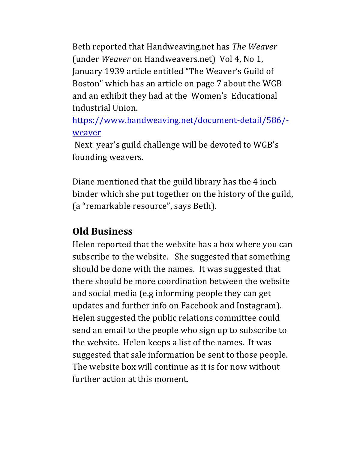Beth reported that Handweaving.net has *The Weaver* (under *Weaver* on Handweavers.net) Vol 4, No 1, January 1939 article entitled "The Weaver's Guild of Boston" which has an article on page 7 about the WGB and an exhibit they had at the Women's Educational Industrial Union.

https://www.handweaving.net/document-detail/586/ weaver

Next year's guild challenge will be devoted to WGB's founding weavers.

Diane mentioned that the guild library has the 4 inch binder which she put together on the history of the guild, (a "remarkable resource", says Beth).

#### **Old Business**

Helen reported that the website has a box where you can subscribe to the website. She suggested that something should be done with the names. It was suggested that there should be more coordination between the website and social media (e.g informing people they can get updates and further info on Facebook and Instagram). Helen suggested the public relations committee could send an email to the people who sign up to subscribe to the website. Helen keeps a list of the names. It was suggested that sale information be sent to those people. The website box will continue as it is for now without further action at this moment.